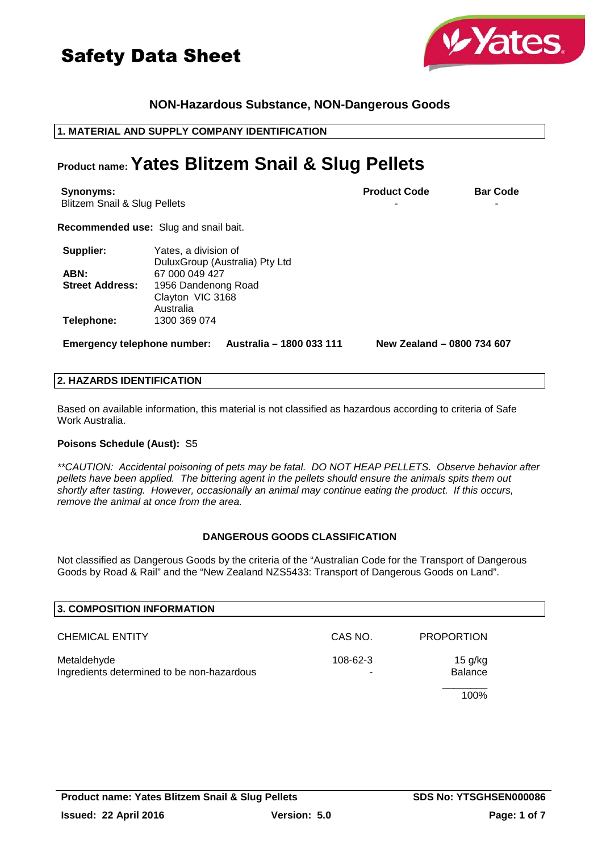



# **NON-Hazardous Substance, NON-Dangerous Goods**

# **1. MATERIAL AND SUPPLY COMPANY IDENTIFICATION**

# **Product name: Yates Blitzem Snail & Slug Pellets**

| Synonyms:<br><b>Blitzem Snail &amp; Slug Pellets</b> |                                                        | <b>Product Code</b>        | <b>Bar Code</b> |
|------------------------------------------------------|--------------------------------------------------------|----------------------------|-----------------|
|                                                      | <b>Recommended use:</b> Slug and snail bait.           |                            |                 |
| Supplier:                                            | Yates, a division of<br>DuluxGroup (Australia) Pty Ltd |                            |                 |
| ABN:                                                 | 67 000 049 427                                         |                            |                 |
| <b>Street Address:</b>                               | 1956 Dandenong Road<br>Clayton VIC 3168<br>Australia   |                            |                 |
| Telephone:                                           | 1300 369 074                                           |                            |                 |
| <b>Emergency telephone number:</b>                   | Australia – 1800 033 111                               | New Zealand - 0800 734 607 |                 |

### **2. HAZARDS IDENTIFICATION**

Based on available information, this material is not classified as hazardous according to criteria of Safe Work Australia.

#### **Poisons Schedule (Aust):** S5

\*\*CAUTION: Accidental poisoning of pets may be fatal. DO NOT HEAP PELLETS. Observe behavior after pellets have been applied. The bittering agent in the pellets should ensure the animals spits them out shortly after tasting. However, occasionally an animal may continue eating the product. If this occurs, remove the animal at once from the area.

#### **DANGEROUS GOODS CLASSIFICATION**

Not classified as Dangerous Goods by the criteria of the "Australian Code for the Transport of Dangerous Goods by Road & Rail" and the "New Zealand NZS5433: Transport of Dangerous Goods on Land".

| 3. COMPOSITION INFORMATION                                |               |                           |  |
|-----------------------------------------------------------|---------------|---------------------------|--|
| <b>CHEMICAL ENTITY</b>                                    | CAS NO.       | <b>PROPORTION</b>         |  |
| Metaldehyde<br>Ingredients determined to be non-hazardous | 108-62-3<br>- | 15 g/kg<br><b>Balance</b> |  |
|                                                           |               | 100%                      |  |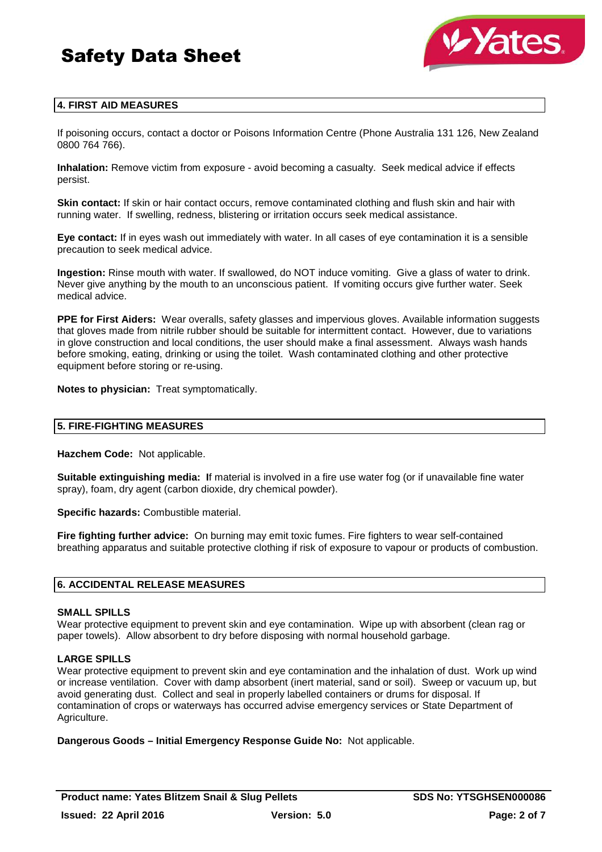



# **4. FIRST AID MEASURES**

If poisoning occurs, contact a doctor or Poisons Information Centre (Phone Australia 131 126, New Zealand 0800 764 766).

**Inhalation:** Remove victim from exposure - avoid becoming a casualty. Seek medical advice if effects persist.

**Skin contact:** If skin or hair contact occurs, remove contaminated clothing and flush skin and hair with running water. If swelling, redness, blistering or irritation occurs seek medical assistance.

**Eye contact:** If in eyes wash out immediately with water. In all cases of eye contamination it is a sensible precaution to seek medical advice.

**Ingestion:** Rinse mouth with water. If swallowed, do NOT induce vomiting. Give a glass of water to drink. Never give anything by the mouth to an unconscious patient. If vomiting occurs give further water. Seek medical advice.

**PPE for First Aiders:** Wear overalls, safety glasses and impervious gloves. Available information suggests that gloves made from nitrile rubber should be suitable for intermittent contact. However, due to variations in glove construction and local conditions, the user should make a final assessment. Always wash hands before smoking, eating, drinking or using the toilet. Wash contaminated clothing and other protective equipment before storing or re-using.

**Notes to physician:** Treat symptomatically.

#### **5. FIRE-FIGHTING MEASURES**

**Hazchem Code:** Not applicable.

**Suitable extinguishing media: I**f material is involved in a fire use water fog (or if unavailable fine water spray), foam, dry agent (carbon dioxide, dry chemical powder).

**Specific hazards:** Combustible material.

**Fire fighting further advice:** On burning may emit toxic fumes. Fire fighters to wear self-contained breathing apparatus and suitable protective clothing if risk of exposure to vapour or products of combustion.

# **6. ACCIDENTAL RELEASE MEASURES**

#### **SMALL SPILLS**

Wear protective equipment to prevent skin and eye contamination. Wipe up with absorbent (clean rag or paper towels). Allow absorbent to dry before disposing with normal household garbage.

#### **LARGE SPILLS**

Wear protective equipment to prevent skin and eye contamination and the inhalation of dust. Work up wind or increase ventilation. Cover with damp absorbent (inert material, sand or soil). Sweep or vacuum up, but avoid generating dust. Collect and seal in properly labelled containers or drums for disposal. If contamination of crops or waterways has occurred advise emergency services or State Department of Agriculture.

**Dangerous Goods – Initial Emergency Response Guide No:** Not applicable.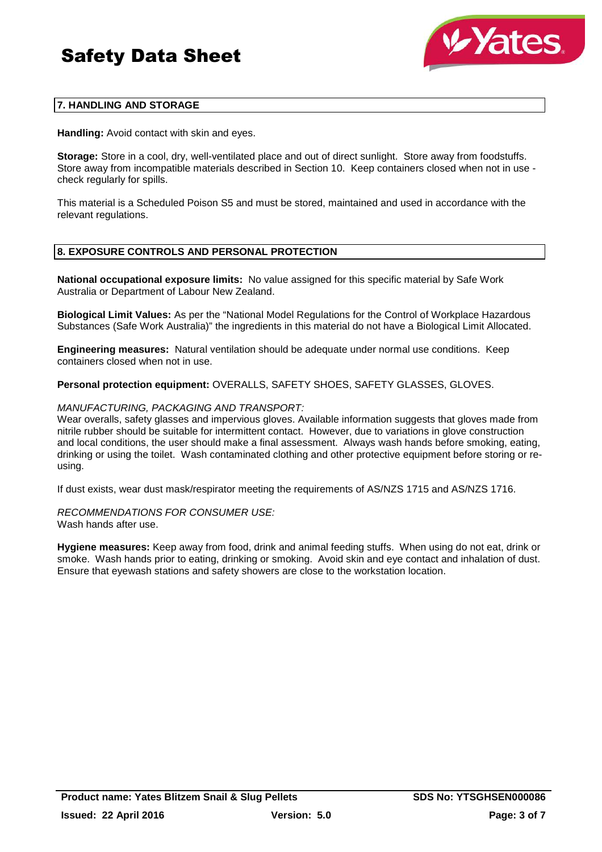

# **7. HANDLING AND STORAGE**

**Handling:** Avoid contact with skin and eyes.

**Storage:** Store in a cool, dry, well-ventilated place and out of direct sunlight. Store away from foodstuffs. Store away from incompatible materials described in Section 10. Keep containers closed when not in use check regularly for spills.

This material is a Scheduled Poison S5 and must be stored, maintained and used in accordance with the relevant regulations.

# **8. EXPOSURE CONTROLS AND PERSONAL PROTECTION**

**National occupational exposure limits:** No value assigned for this specific material by Safe Work Australia or Department of Labour New Zealand.

**Biological Limit Values:** As per the "National Model Regulations for the Control of Workplace Hazardous Substances (Safe Work Australia)" the ingredients in this material do not have a Biological Limit Allocated.

**Engineering measures:** Natural ventilation should be adequate under normal use conditions. Keep containers closed when not in use.

**Personal protection equipment:** OVERALLS, SAFETY SHOES, SAFETY GLASSES, GLOVES.

#### MANUFACTURING, PACKAGING AND TRANSPORT:

Wear overalls, safety glasses and impervious gloves. Available information suggests that gloves made from nitrile rubber should be suitable for intermittent contact. However, due to variations in glove construction and local conditions, the user should make a final assessment. Always wash hands before smoking, eating, drinking or using the toilet. Wash contaminated clothing and other protective equipment before storing or reusing.

If dust exists, wear dust mask/respirator meeting the requirements of AS/NZS 1715 and AS/NZS 1716.

#### RECOMMENDATIONS FOR CONSUMER USE: Wash hands after use.

**Hygiene measures:** Keep away from food, drink and animal feeding stuffs. When using do not eat, drink or smoke. Wash hands prior to eating, drinking or smoking. Avoid skin and eye contact and inhalation of dust. Ensure that eyewash stations and safety showers are close to the workstation location.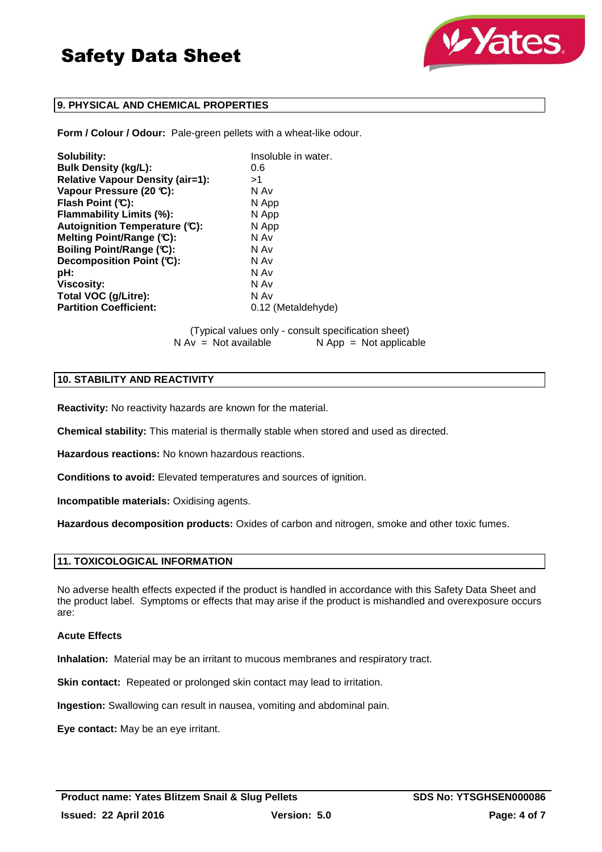



# **9. PHYSICAL AND CHEMICAL PROPERTIES**

**Form / Colour / Odour:** Pale-green pellets with a wheat-like odour.

| Solubility:                             | Insoluble in water. |
|-----------------------------------------|---------------------|
| <b>Bulk Density (kg/L):</b>             | 0.6                 |
| <b>Relative Vapour Density (air=1):</b> | >1                  |
| Vapour Pressure (20 °C):                | N Av                |
| Flash Point (C):                        | N App               |
| Flammability Limits (%):                | N App               |
| Autoignition Temperature (C):           | N App               |
| Melting Point/Range (C):                | N Av                |
| Boiling Point/Range (C):                | N Av                |
| Decomposition Point (C):                | N Av                |
| pH:                                     | N Av                |
| <b>Viscosity:</b>                       | N Av                |
| Total VOC (g/Litre):                    | N Av                |
| <b>Partition Coefficient:</b>           | 0.12 (Metaldehyde)  |

(Typical values only - consult specification sheet)  $N$  App = Not applicable

# **10. STABILITY AND REACTIVITY**

**Reactivity:** No reactivity hazards are known for the material.

**Chemical stability:** This material is thermally stable when stored and used as directed.

**Hazardous reactions:** No known hazardous reactions.

**Conditions to avoid:** Elevated temperatures and sources of ignition.

**Incompatible materials:** Oxidising agents.

**Hazardous decomposition products:** Oxides of carbon and nitrogen, smoke and other toxic fumes.

# **11. TOXICOLOGICAL INFORMATION**

No adverse health effects expected if the product is handled in accordance with this Safety Data Sheet and the product label. Symptoms or effects that may arise if the product is mishandled and overexposure occurs are:

# **Acute Effects**

**Inhalation:** Material may be an irritant to mucous membranes and respiratory tract.

**Skin contact:** Repeated or prolonged skin contact may lead to irritation.

**Ingestion:** Swallowing can result in nausea, vomiting and abdominal pain.

**Eye contact:** May be an eye irritant.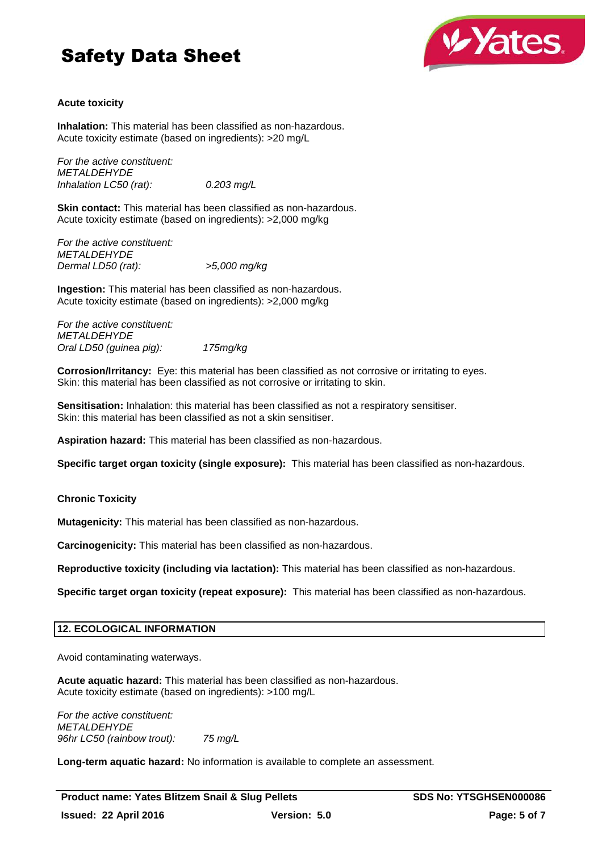# Safety Data Sheet



# **Acute toxicity**

**Inhalation:** This material has been classified as non-hazardous. Acute toxicity estimate (based on ingredients): >20 mg/L

For the active constituent: **METALDEHYDE** Inhalation LC50 (rat): 0.203 mg/L

**Skin contact:** This material has been classified as non-hazardous. Acute toxicity estimate (based on ingredients): >2,000 mg/kg

For the active constituent: **METALDEHYDE** Dermal LD50 (rat): >5,000 mg/kg

**Ingestion:** This material has been classified as non-hazardous. Acute toxicity estimate (based on ingredients): >2,000 mg/kg

For the active constituent: **METALDEHYDE** Oral LD50 (guinea pig): 175mg/kg

**Corrosion/Irritancy:** Eye: this material has been classified as not corrosive or irritating to eyes. Skin: this material has been classified as not corrosive or irritating to skin.

**Sensitisation:** Inhalation: this material has been classified as not a respiratory sensitiser. Skin: this material has been classified as not a skin sensitiser.

**Aspiration hazard:** This material has been classified as non-hazardous.

**Specific target organ toxicity (single exposure):** This material has been classified as non-hazardous.

**Chronic Toxicity**

**Mutagenicity:** This material has been classified as non-hazardous.

**Carcinogenicity:** This material has been classified as non-hazardous.

**Reproductive toxicity (including via lactation):** This material has been classified as non-hazardous.

**Specific target organ toxicity (repeat exposure):** This material has been classified as non-hazardous.

# **12. ECOLOGICAL INFORMATION**

Avoid contaminating waterways.

**Acute aquatic hazard:** This material has been classified as non-hazardous. Acute toxicity estimate (based on ingredients): >100 mg/L

For the active constituent: **METALDEHYDE** 96hr LC50 (rainbow trout): 75 mg/L

**Long-term aquatic hazard:** No information is available to complete an assessment.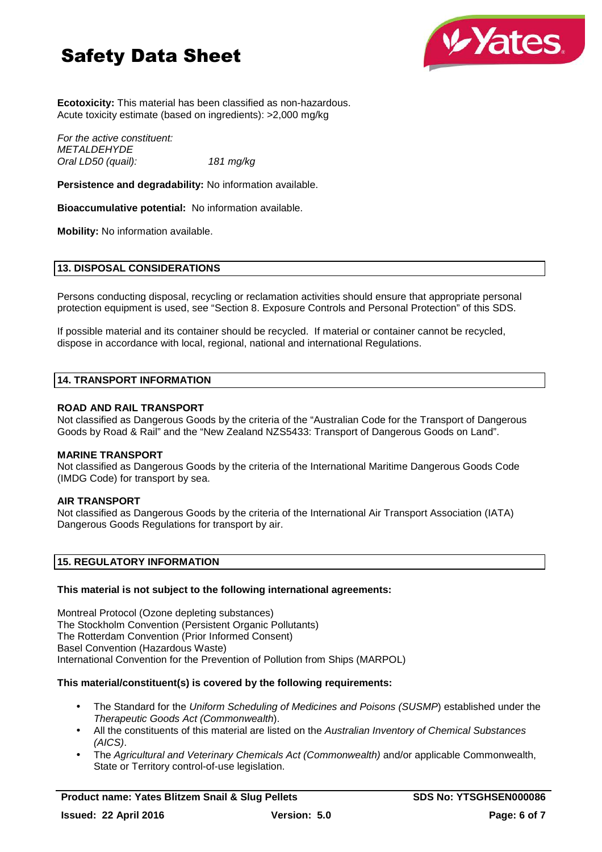# Safety Data Sheet



**Ecotoxicity:** This material has been classified as non-hazardous. Acute toxicity estimate (based on ingredients): >2,000 mg/kg

For the active constituent: **METALDEHYDE** Oral LD50 (quail): 181 mg/kg

**Persistence and degradability:** No information available.

**Bioaccumulative potential:** No information available.

**Mobility:** No information available.

# **13. DISPOSAL CONSIDERATIONS**

Persons conducting disposal, recycling or reclamation activities should ensure that appropriate personal protection equipment is used, see "Section 8. Exposure Controls and Personal Protection" of this SDS.

If possible material and its container should be recycled. If material or container cannot be recycled, dispose in accordance with local, regional, national and international Regulations.

#### **14. TRANSPORT INFORMATION**

#### **ROAD AND RAIL TRANSPORT**

Not classified as Dangerous Goods by the criteria of the "Australian Code for the Transport of Dangerous Goods by Road & Rail" and the "New Zealand NZS5433: Transport of Dangerous Goods on Land".

#### **MARINE TRANSPORT**

Not classified as Dangerous Goods by the criteria of the International Maritime Dangerous Goods Code (IMDG Code) for transport by sea.

#### **AIR TRANSPORT**

Not classified as Dangerous Goods by the criteria of the International Air Transport Association (IATA) Dangerous Goods Regulations for transport by air.

# **15. REGULATORY INFORMATION**

#### **This material is not subject to the following international agreements:**

Montreal Protocol (Ozone depleting substances) The Stockholm Convention (Persistent Organic Pollutants) The Rotterdam Convention (Prior Informed Consent) Basel Convention (Hazardous Waste) International Convention for the Prevention of Pollution from Ships (MARPOL)

### **This material/constituent(s) is covered by the following requirements:**

- The Standard for the Uniform Scheduling of Medicines and Poisons (SUSMP) established under the Therapeutic Goods Act (Commonwealth).
- All the constituents of this material are listed on the Australian Inventory of Chemical Substances (AICS).
- The Agricultural and Veterinary Chemicals Act (Commonwealth) and/or applicable Commonwealth, State or Territory control-of-use legislation.